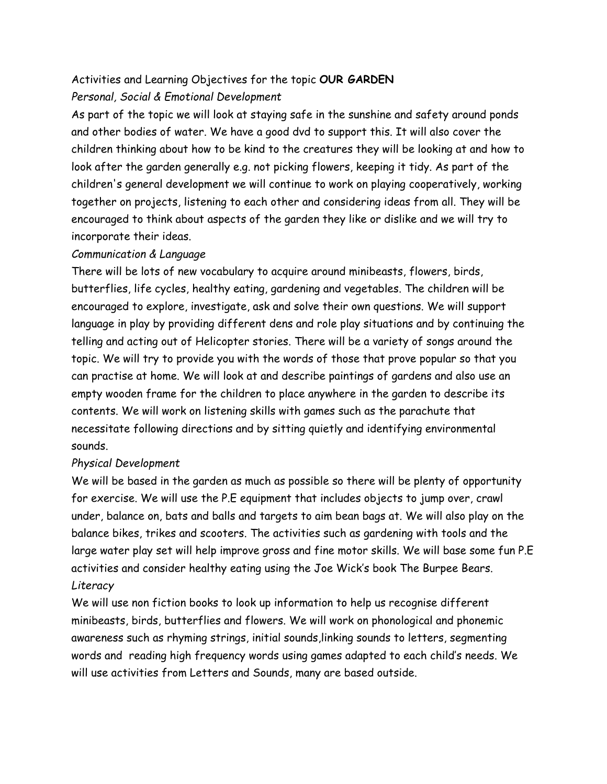## Activities and Learning Objectives for the topic **OUR GARDEN**

## *Personal, Social & Emotional Development*

As part of the topic we will look at staying safe in the sunshine and safety around ponds and other bodies of water. We have a good dvd to support this. It will also cover the children thinking about how to be kind to the creatures they will be looking at and how to look after the garden generally e.g. not picking flowers, keeping it tidy. As part of the children's general development we will continue to work on playing cooperatively, working together on projects, listening to each other and considering ideas from all. They will be encouraged to think about aspects of the garden they like or dislike and we will try to incorporate their ideas.

## *Communication & Language*

There will be lots of new vocabulary to acquire around minibeasts, flowers, birds, butterflies, life cycles, healthy eating, gardening and vegetables. The children will be encouraged to explore, investigate, ask and solve their own questions. We will support language in play by providing different dens and role play situations and by continuing the telling and acting out of Helicopter stories. There will be a variety of songs around the topic. We will try to provide you with the words of those that prove popular so that you can practise at home. We will look at and describe paintings of gardens and also use an empty wooden frame for the children to place anywhere in the garden to describe its contents. We will work on listening skills with games such as the parachute that necessitate following directions and by sitting quietly and identifying environmental sounds.

## *Physical Development*

We will be based in the garden as much as possible so there will be plenty of opportunity for exercise. We will use the P.E equipment that includes objects to jump over, crawl under, balance on, bats and balls and targets to aim bean bags at. We will also play on the balance bikes, trikes and scooters. The activities such as gardening with tools and the large water play set will help improve gross and fine motor skills. We will base some fun P.E activities and consider healthy eating using the Joe Wick's book The Burpee Bears. *Literacy*

We will use non fiction books to look up information to help us recognise different minibeasts, birds, butterflies and flowers. We will work on phonological and phonemic awareness such as rhyming strings, initial sounds,linking sounds to letters, segmenting words and reading high frequency words using games adapted to each child's needs. We will use activities from Letters and Sounds, many are based outside.